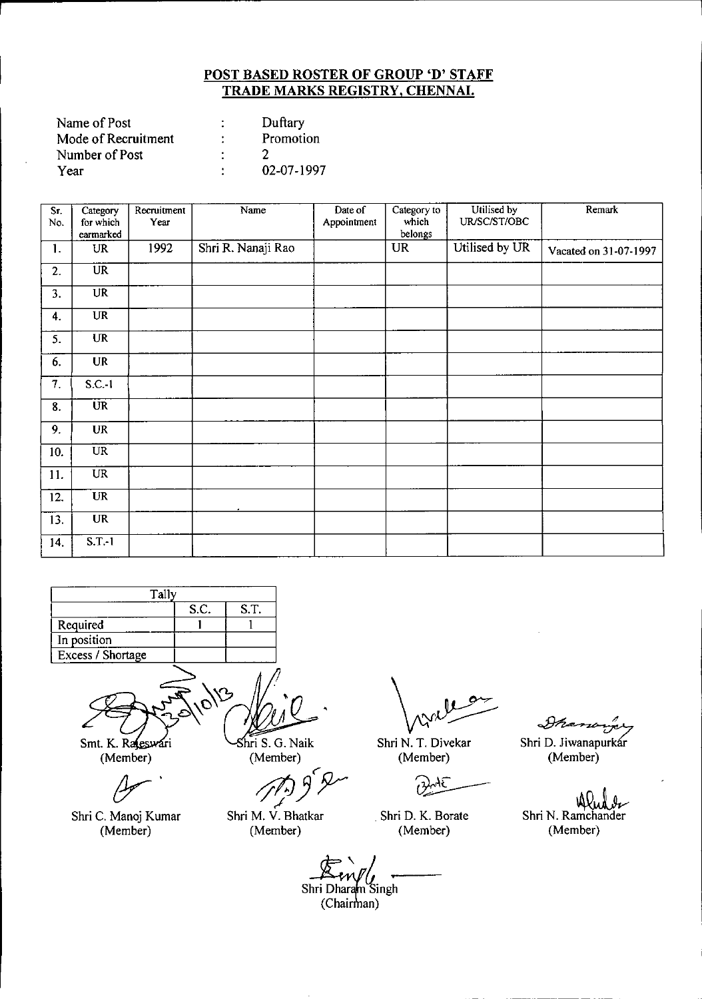| Name of Post        | Duftary    |
|---------------------|------------|
| Mode of Recruitment | Promotion  |
| Number of Post      |            |
| Year                | 02-07-1997 |

| Sr.<br>No. | Category<br>for which<br>earmarked | Recruitment<br>Year | Name               | Date of<br>Appointment | Category to<br>which<br>belongs | Utilised by<br>UR/SC/ST/OBC | Remark                |
|------------|------------------------------------|---------------------|--------------------|------------------------|---------------------------------|-----------------------------|-----------------------|
| 1.         | <b>UR</b>                          | 1992                | Shri R. Nanaji Rao |                        | <b>UR</b>                       | Utilised by UR              | Vacated on 31-07-1997 |
| 2.         | UR                                 |                     |                    |                        |                                 |                             |                       |
| 3.         | <b>UR</b>                          |                     |                    |                        |                                 |                             |                       |
| 4.         | UR                                 |                     |                    |                        |                                 |                             |                       |
| 5.         | <b>UR</b>                          |                     |                    |                        |                                 |                             |                       |
| 6.         | <b>UR</b>                          |                     |                    |                        |                                 |                             |                       |
| 7.         | S.C.1                              |                     |                    |                        |                                 |                             |                       |
| 8.         | <b>UR</b>                          |                     |                    |                        |                                 |                             |                       |
| 9.         | <b>UR</b>                          |                     |                    |                        |                                 |                             |                       |
| 10.        | $\overline{UR}$                    |                     |                    |                        |                                 |                             |                       |
| 11.        | <b>UR</b>                          |                     |                    |                        |                                 |                             |                       |
| 12.        | <b>UR</b>                          |                     |                    |                        |                                 |                             |                       |
| 13.        | <b>UR</b>                          |                     |                    |                        |                                 |                             |                       |
| 14.        | S.T.1                              |                     |                    |                        |                                 |                             |                       |



Smt. K. Rasswari (Member)

Shri C. Manoj Kumar (Member)

Shri S. G. Naik (Member)

Shri M. V. Bhatkar (Member)

Shri N. T. Divekar (Member)

جمہ  $\overline{\mathcal{O}}$ 

. Shri D. K. Borate (Member)

Ðħ Shri D. Jiwanapurkar (Member)

Shri N. Ramchander (Member)

Shri Dharam Singh  $(Chain)$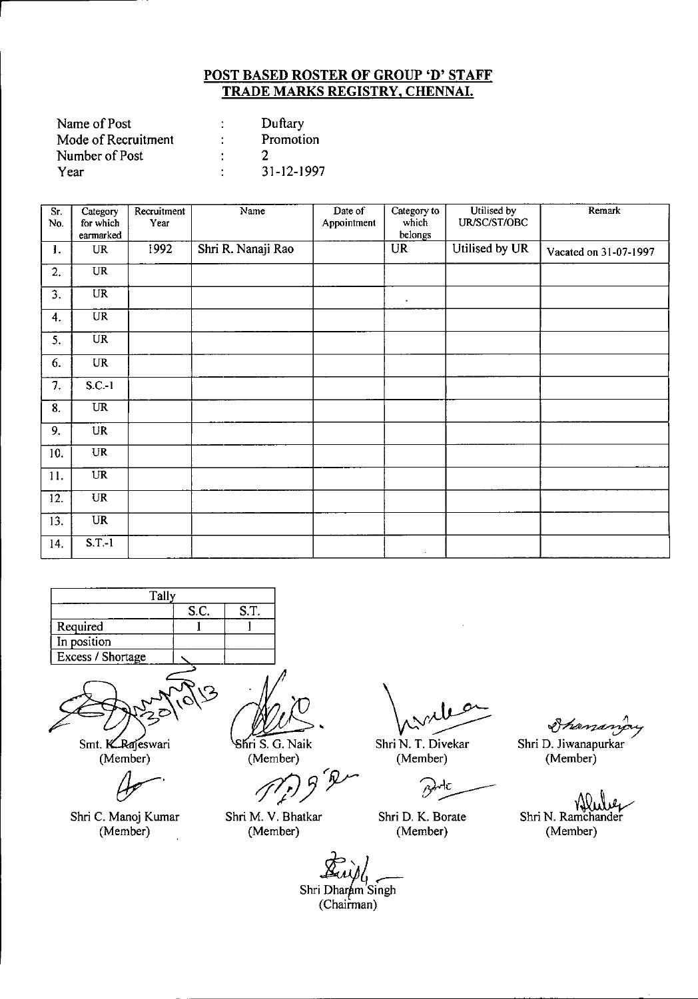| Name of Post        |   | Duftary    |
|---------------------|---|------------|
| Mode of Recruitment |   | Promotion  |
| Number of Post      |   |            |
| Year                | ٠ | 31-12-1997 |

| $\overline{\text{Sr.}}$ | Category                          | Recruitment | Name               | Date of     | Category to | Utilised by    | Remark                |
|-------------------------|-----------------------------------|-------------|--------------------|-------------|-------------|----------------|-----------------------|
| No.                     | for which                         | Year        |                    | Appointment | which       | UR/SC/ST/OBC   |                       |
|                         | earmarked                         |             |                    |             | belongs     |                |                       |
| 1.                      | <b>UR</b>                         | 1992        | Shri R. Nanaji Rao |             | <b>UR</b>   | Utilised by UR | Vacated on 31-07-1997 |
| 2.                      | <b>UR</b>                         |             |                    |             |             |                |                       |
| 3.                      | $\overline{UR}$                   |             |                    |             | $\bullet$   |                |                       |
| 4.                      | $\ensuremath{\mathsf{UR}}\xspace$ |             |                    |             |             |                |                       |
| 5.                      | <b>UR</b>                         |             |                    |             |             |                |                       |
| 6.                      | <b>UR</b>                         |             |                    |             |             |                |                       |
| 7.                      | $S.C.-1$                          |             |                    |             |             |                |                       |
| 8.                      | <b>UR</b>                         |             |                    |             |             |                |                       |
| 9.                      | <b>UR</b>                         |             |                    |             |             |                |                       |
| 10.                     | <b>UR</b>                         |             |                    |             |             |                |                       |
| 11.                     | <b>UR</b>                         |             |                    |             |             |                |                       |
| 12.                     | <b>UR</b>                         |             |                    |             |             |                |                       |
| 13.                     | <b>UR</b>                         |             |                    |             |             |                |                       |
| 14.                     | $S.T.-1$                          |             |                    |             | $\sim$      |                |                       |





Smt. KRajeswari (Member)

*(};r'*

Shri C. Manoj Kumar (Member)

**10 PM**<br>ri S. G. Naik

(Member)

*P/Jyy*

Shri M. V. Bhatkar (Member)

Shri N. T. Divekar (Member)

Μc B

Shri D. K. Borate (Member)

Shanary

Shri D. Jiwanapurkar (Member)

Shri N. Ramchander

(Member)

Shri Dharam Singh (Chairman)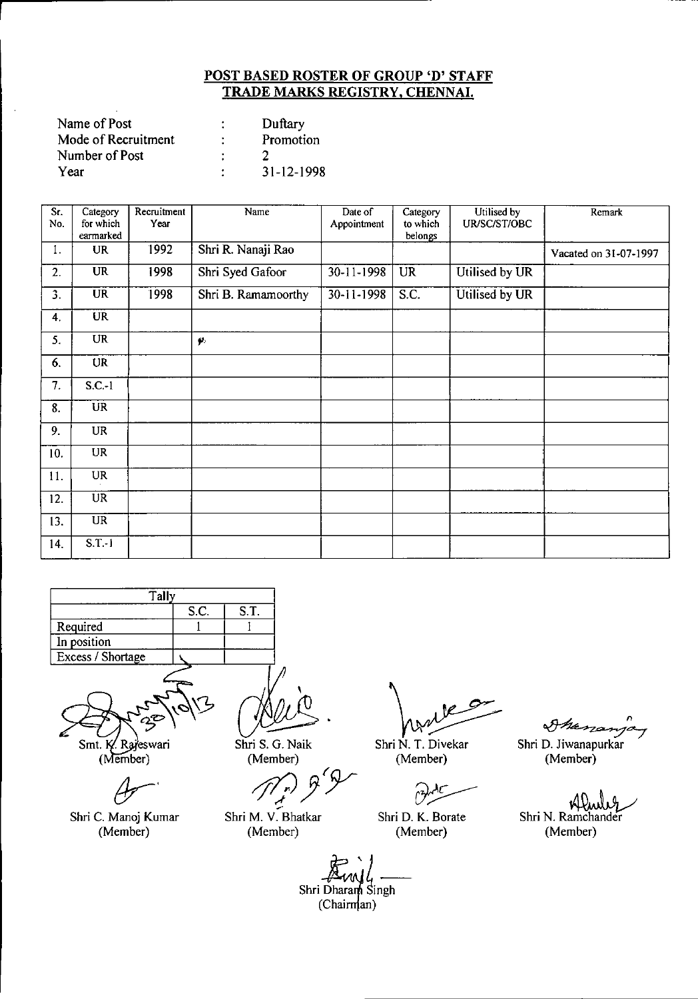| Name of Post        |   | Duftary    |
|---------------------|---|------------|
| Mode of Recruitment | ٠ | Promotion  |
| Number of Post      |   |            |
| Year                |   | 31-12-1998 |

 $\overline{\phantom{a}}$  .

| $\overline{\text{Sr.}}$<br>No. | Category<br>for which | Recruitment<br>Year | Name                | Date of<br>Appointment | Category<br>to which | Utilised by<br>UR/SC/ST/OBC | Remark                |
|--------------------------------|-----------------------|---------------------|---------------------|------------------------|----------------------|-----------------------------|-----------------------|
|                                | earmarked             |                     |                     |                        | belongs              |                             |                       |
| 1.                             | <b>UR</b>             | 1992                | Shri R. Nanaji Rao  |                        |                      |                             | Vacated on 31-07-1997 |
| 2.                             | <b>UR</b>             | 1998                | Shri Syed Gafoor    | 30-11-1998             | <b>UR</b>            | Utilised by UR              |                       |
| 3.                             | <b>UR</b>             | 1998                | Shri B. Ramamoorthy | 30-11-1998             | S.C.                 | Utilised by UR              |                       |
| 4.                             | <b>UR</b>             |                     |                     |                        |                      |                             |                       |
| 5.                             | <b>UR</b>             |                     | $\pmb{\varphi}$     |                        |                      |                             |                       |
| 6.                             | <b>UR</b>             |                     |                     |                        |                      |                             |                       |
| 7.                             | $S.C.-1$              |                     |                     |                        |                      |                             |                       |
| 8.                             | <b>UR</b>             |                     |                     |                        |                      |                             |                       |
| 9.                             | <b>UR</b>             |                     |                     |                        |                      |                             |                       |
| 10.                            | <b>UR</b>             |                     |                     |                        |                      |                             |                       |
| 11.                            | <b>UR</b>             |                     |                     |                        |                      |                             |                       |
| 12.                            | <b>UR</b>             |                     |                     |                        |                      |                             |                       |
| 13.                            | $\overline{UR}$       |                     |                     |                        |                      |                             |                       |
| 14.                            | $S.T.-1$              |                     |                     |                        |                      |                             |                       |



Smt. K. Rajeswari

(Member)

 $A -$ 

Shri C. Manoj Kumar (Member)

Shri S. G. Naik (Member)

*rflJJ7* <sup>r</sup>

Shri M. V. Bhatkar (Member)

١e  $\ddot{\cdot}$ 

Shri N. T. Oivekar (Member)

~~

Shri O. K. Borate (Member)

I nen

Shri D. Jiwanapurkar (Member)

Shri N. Ramchander

(Member)

Shri Dharan Singh  $(Chairm|an)$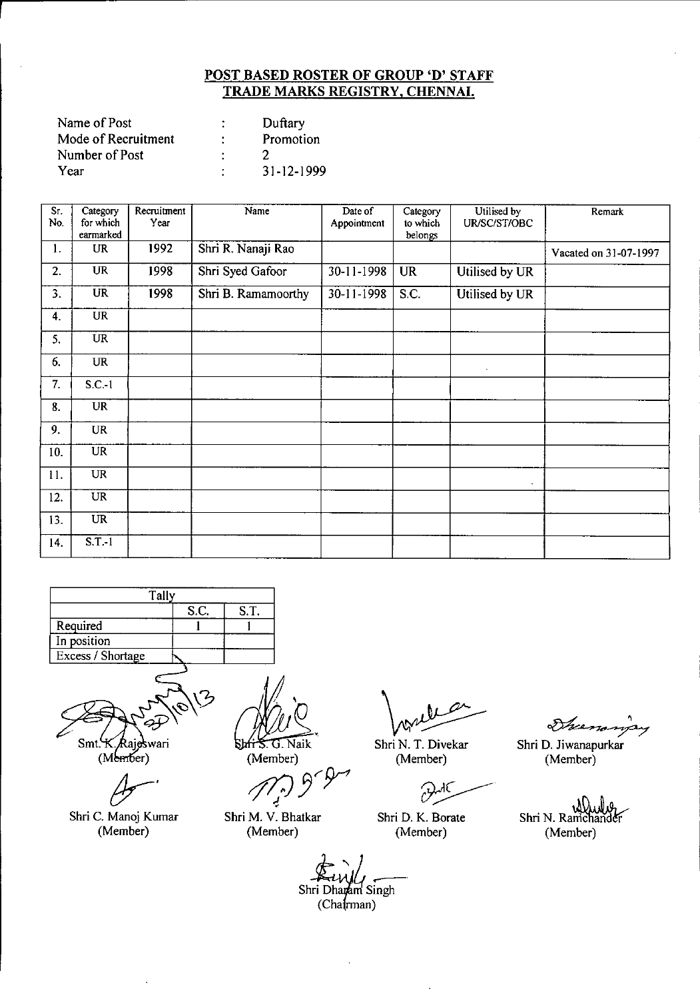| Name of Post        |   | Duftary    |
|---------------------|---|------------|
| Mode of Recruitment | ٠ | Promotion  |
| Number of Post      |   |            |
| Year                | ٠ | 31-12-1999 |

 $\mathcal{L}$ 

| Sr.<br>No.                | Category<br>for which | Recruitment<br>Year | Name                | Date of<br>Appointment | Category<br>to which | Utilised by<br>UR/SC/ST/OBC | Remark                |
|---------------------------|-----------------------|---------------------|---------------------|------------------------|----------------------|-----------------------------|-----------------------|
|                           | earmarked             |                     |                     |                        | belongs              |                             |                       |
| 1.                        | <b>UR</b>             | 1992                | Shri R. Nanaji Rao  |                        |                      |                             | Vacated on 31-07-1997 |
| 2.                        | <b>UR</b>             | 1998                | Shri Syed Gafoor    | 30-11-1998             | <b>UR</b>            | Utilised by UR              |                       |
| $\overline{\mathbf{3}}$ . | <b>UR</b>             | 1998                | Shri B. Ramamoorthy | 30-11-1998             | S.C.                 | Utilised by UR              |                       |
| 4.                        | <b>UR</b>             |                     |                     |                        |                      |                             |                       |
| 5.                        | <b>UR</b>             |                     |                     |                        |                      |                             |                       |
| 6.                        | <b>UR</b>             |                     |                     |                        |                      | ٠                           |                       |
| 7.                        | $S.C.-1$              |                     |                     |                        |                      |                             |                       |
| 8.                        | <b>UR</b>             |                     |                     |                        |                      |                             |                       |
| 9.                        | <b>UR</b>             |                     |                     |                        |                      |                             |                       |
| 10.                       | <b>UR</b>             |                     |                     |                        |                      |                             |                       |
| 11.                       | UR                    |                     |                     |                        |                      | $\mathbf{r}$                |                       |
| 12.                       | <b>UR</b>             |                     |                     |                        |                      |                             |                       |
| 13.                       | <b>UR</b>             |                     |                     |                        |                      |                             |                       |
| 14.                       | $S.T.-1$              |                     |                     |                        |                      |                             |                       |





Shri C. Manoj Kumar (Member)

Shri S. G. Naik

(Member)

*ftjJ3'~*

Shri M. V. Bhatkar (Member)

~

Shri N. T. Diveka (Member)

 $\partial$ ЛΟ

Shri D. K. Borate (Member)

France

Shri D. Jiwanapurkar (Member)

Shri N. Ramchan (Member)

 $\frac{R}{r}$ <br> $\frac{P}{r}$ <br> $\frac{P}{r}$ <br> $\frac{P}{r}$ <br> $\frac{P}{r}$  $\frac{\sum_{i=1}^{n} x_i}{\sum_{i=1}^{n} x_i}$ Shri Dharam Singh  $(Cha$  $rman)$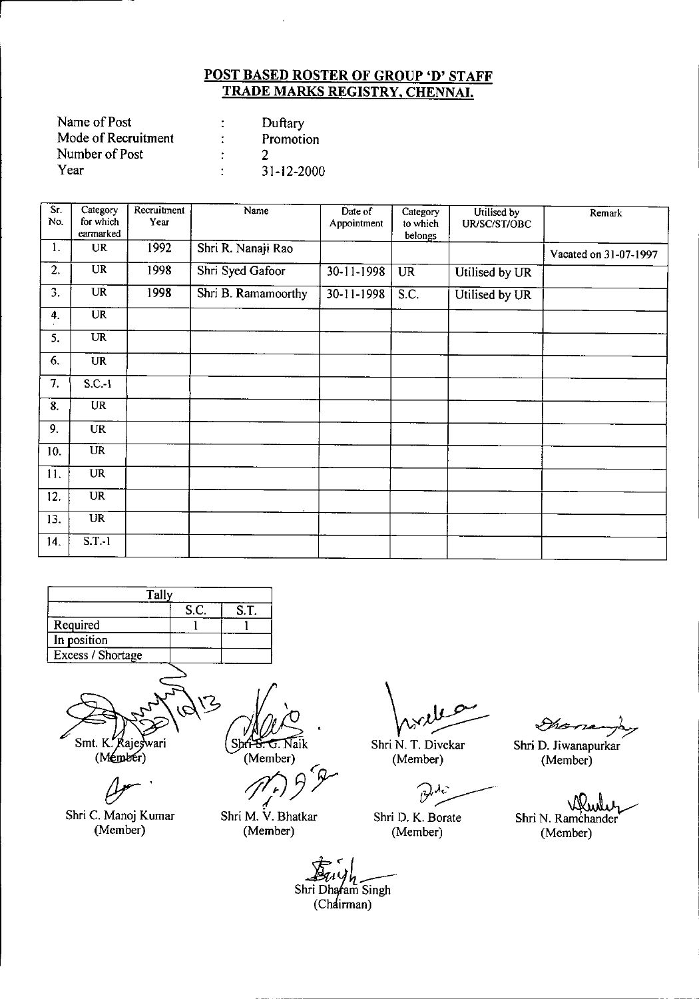| Name of Post        | Duftary    |
|---------------------|------------|
| Mode of Recruitment | Promotion  |
| Number of Post      |            |
| Year                | 31-12-2000 |

| Sr.<br>No. | Category<br>for which | Recruitment<br>Year | Name                | Date of<br>Appointment | Category<br>to which | Utilised by<br>UR/SC/ST/OBC | Remark                |
|------------|-----------------------|---------------------|---------------------|------------------------|----------------------|-----------------------------|-----------------------|
|            | earmarked             |                     |                     |                        | belongs              |                             |                       |
| 1.         | <b>UR</b>             | 1992                | Shri R. Nanaji Rao  |                        |                      |                             | Vacated on 31-07-1997 |
| 2.         | <b>UR</b>             | 1998                | Shri Syed Gafoor    | 30-11-1998             | <b>UR</b>            | Utilised by UR              |                       |
| 3.         | UR                    | 1998                | Shri B. Ramamoorthy | 30-11-1998             | S.C.                 | Utilised by UR              |                       |
| 4.         | <b>UR</b>             |                     |                     |                        |                      |                             |                       |
| 5.         | <b>UR</b>             |                     |                     |                        |                      |                             |                       |
| 6.         | <b>UR</b>             |                     |                     |                        |                      |                             |                       |
| 7.         | $S.C.-1$              |                     |                     |                        |                      |                             |                       |
| 8.         | <b>UR</b>             |                     |                     |                        |                      |                             |                       |
| 9.         | <b>UR</b>             |                     |                     |                        |                      |                             |                       |
| 10.        | <b>UR</b>             |                     |                     |                        |                      |                             |                       |
| 11.        | <b>UR</b>             |                     |                     |                        |                      |                             |                       |
| 12.        | UR <sup>T</sup>       |                     |                     |                        |                      |                             |                       |
| 13.        | <b>UR</b>             |                     |                     |                        |                      |                             |                       |
| 14.        | $S.T.-1$              |                     |                     |                        |                      |                             |                       |



Shri C. Manoj Kumar (Member)

Shri<del>ng.</del> G. Naik (Member)

*10J3'T* ، 7 ( *۲ ) |*<br>Shri M. V. Bhatkar

(Member)

 $\sqrt{v}$ 

Shri N. T. Divekar (Member)

 $\mathcal{P}^{\mathcal{A}_{\mathbf{c}}}$ 

Shri D. K. Borate (Member)

~<br>–

Shri D. Jiwanapurkar (Member)

Shri N. Ramchander

(Member)

Shri Dhafam Singh (Chairman)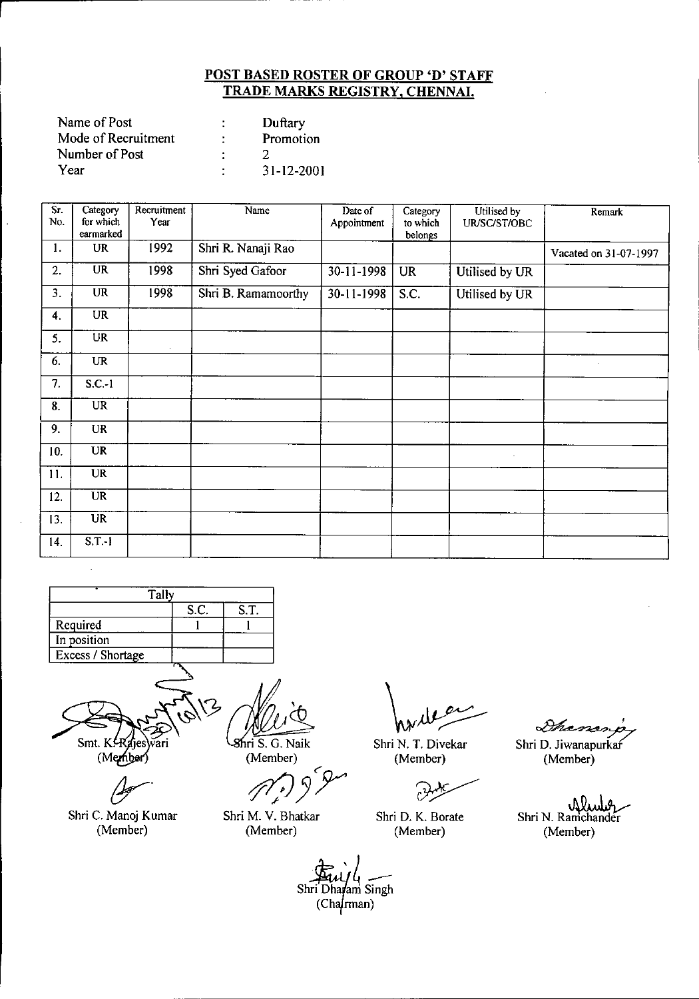| Name of Post        |   | Duftary          |
|---------------------|---|------------------|
| Mode of Recruitment | ÷ | Promotion        |
| Number of Post      |   |                  |
| Year                |   | $31 - 12 - 2001$ |

| $\overline{\text{Sr}}$<br>No. | Category<br>for which             | Recruitment<br>Year | Name                | Date of<br>Appointment | Category<br>to which | Utilised by<br>UR/SC/ST/OBC | Remark                |
|-------------------------------|-----------------------------------|---------------------|---------------------|------------------------|----------------------|-----------------------------|-----------------------|
|                               | earmarked                         |                     |                     |                        | belongs              |                             |                       |
| 1.                            | <b>UR</b>                         | 1992                | Shri R. Nanaji Rao  |                        |                      |                             | Vacated on 31-07-1997 |
| 2.                            | <b>UR</b>                         | 1998                | Shri Syed Gafoor    | 30-11-1998             | <b>UR</b>            | Utilised by UR              |                       |
| $\overline{3}$ .              | <b>UR</b>                         | 1998                | Shri B. Ramamoorthy | 30-11-1998             | S.C.                 | Utilised by UR              |                       |
| 4.                            | <b>UR</b>                         |                     |                     |                        |                      |                             |                       |
| 5.                            | $\overline{\text{UR}}$            |                     |                     |                        |                      |                             |                       |
| 6.                            | $\ensuremath{\mathsf{UR}}\xspace$ |                     |                     |                        |                      |                             |                       |
| 7.                            | $S.C.-1$                          |                     |                     |                        |                      |                             |                       |
| 8.                            | $\overline{UR}$                   |                     |                     |                        |                      |                             |                       |
| 9.                            | <b>UR</b>                         |                     |                     |                        |                      |                             |                       |
| 10.                           | <b>UR</b>                         |                     |                     |                        |                      | $\sim$                      |                       |
| 11.                           | <b>UR</b>                         |                     |                     |                        |                      |                             |                       |
| 12.                           | <b>UR</b>                         |                     |                     |                        |                      |                             |                       |
| 13.                           | $\overline{UR}$                   |                     |                     |                        |                      |                             |                       |
| 14.                           | $S.T.-I$                          |                     |                     |                        |                      |                             |                       |



(Member)

~. Shri C. Manoj Kumar (Member)

Shri S. G. Naik

(Member)

Shri M. V. Bhatkar (Member)

Shri N. T. Divekar (Member)

י<br>איז

Shri D. K. Borate (Member)

Gham

Shri D. Jiwanapurkaf (Member)

Shri N. Ramchander (Member)

Shri Dharam Singh  $(Cha/man)$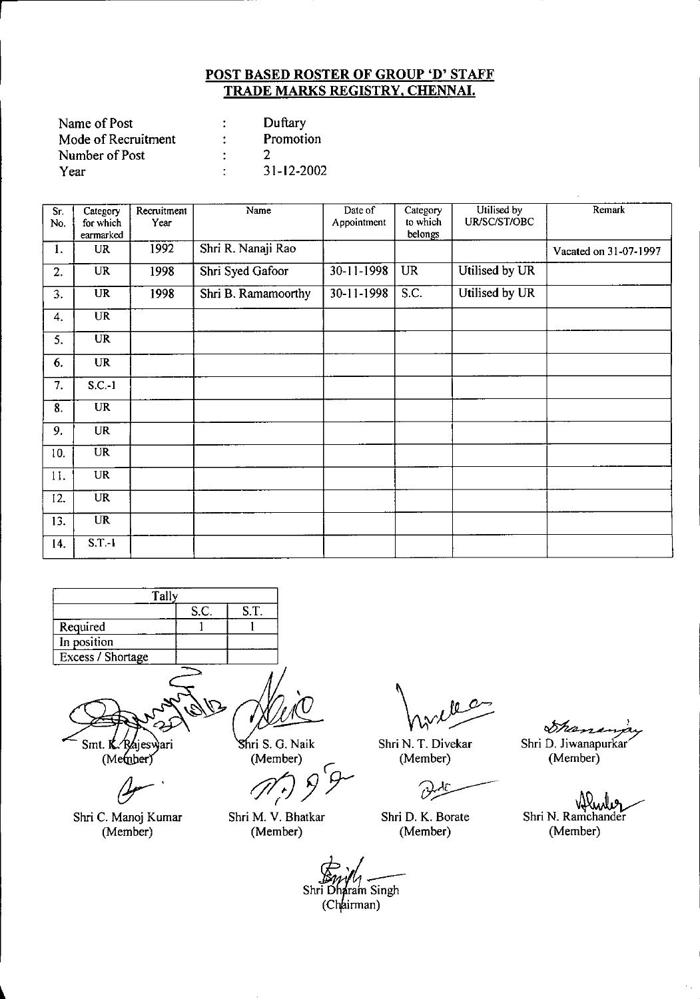| Name of Post        |   | Duftary    |
|---------------------|---|------------|
| Mode of Recruitment | ÷ | Promotion  |
| Number of Post      |   |            |
| Year                | ٠ | 31-12-2002 |

| Sr.<br>No. | Category<br>for which<br>earmarked | Recruitment<br>Year | Name                | Date of<br>Appointment | Category<br>to which<br>belongs | Utilised by<br>UR/SC/ST/OBC | Remark                |
|------------|------------------------------------|---------------------|---------------------|------------------------|---------------------------------|-----------------------------|-----------------------|
| 1.         | <b>UR</b>                          | 1992                | Shri R. Nanaji Rao  |                        |                                 |                             | Vacated on 31-07-1997 |
| 2.         | <b>UR</b>                          | 1998                | Shri Syed Gafoor    | 30-11-1998             | <b>UR</b>                       | Utilised by UR              |                       |
| 3.         | $\overline{\text{UR}}$             | 1998                | Shri B. Ramamoorthy | 30-11-1998             | S.C.                            | Utilised by UR              |                       |
| 4.         | <b>UR</b>                          |                     |                     |                        |                                 |                             |                       |
| 5.         | $\overline{\text{UR}}$             |                     |                     |                        |                                 |                             |                       |
| 6.         | <b>UR</b>                          |                     |                     |                        |                                 |                             |                       |
| 7.         | $S_{C-1}$                          |                     |                     |                        |                                 |                             |                       |
| 8.         | <b>UR</b>                          |                     |                     |                        |                                 |                             |                       |
| 9.         | <b>UR</b>                          |                     |                     |                        |                                 |                             |                       |
| 10.        | $\overline{\text{UR}}$             |                     |                     |                        |                                 |                             |                       |
| 11.        | UR                                 |                     |                     |                        |                                 |                             |                       |
| 12.        | <b>UR</b>                          |                     |                     |                        |                                 |                             |                       |
| 13.        | <b>UR</b>                          |                     |                     |                        |                                 |                             |                       |
| 14.        | $S.T-1$                            |                     |                     |                        |                                 |                             |                       |



Smt. K. Rajeswari<br>(Member)

Shri M. V. Bhatkar (Member)

Shri S. G. Naik

(Member)<br>*(r*) *9* 

O Shri N. T. Divekar

(Member)

يكرين

Shri D. K. Borate (Member)

~' Shri D. Jiwanapurkar

(Member)

Shri N. Ramchander (Member)

 $\sim$ 

 $Shr\bar{i}$  D i Dharam Singh<br>(Chairman)

 $A$ 

Shri C. Manoj Kumar (Member)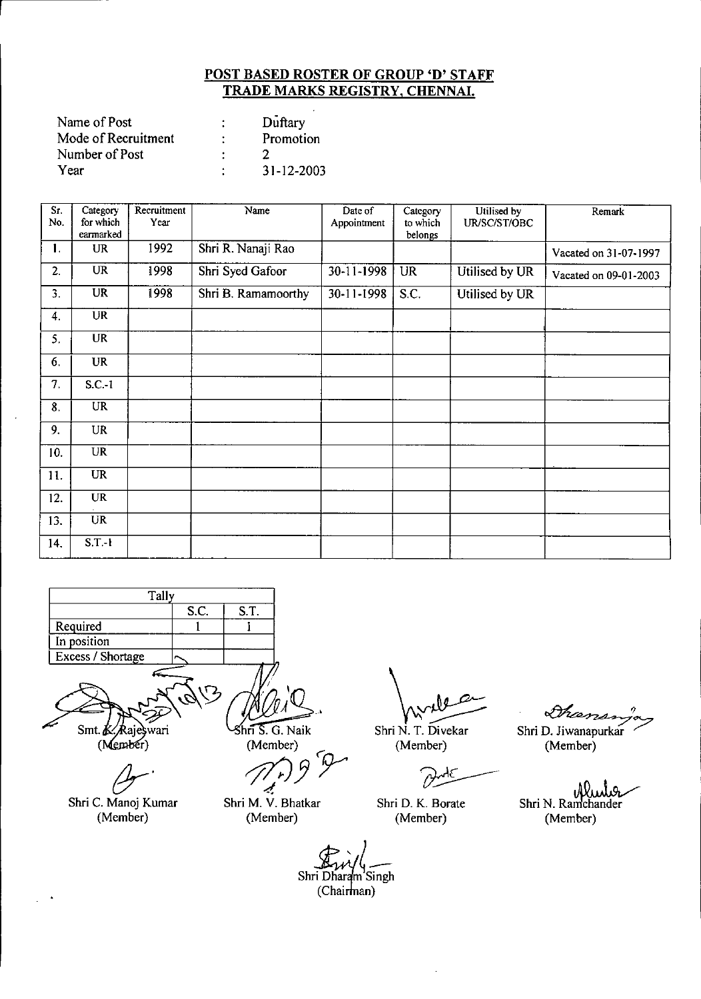| Name of Post        | Duftary    |
|---------------------|------------|
| Mode of Recruitment | Promotion  |
| Number of Post      |            |
| Year                | 31-12-2003 |

| Sr. | Category               | Recruitment | Name                | Date of          | Category            | Utilised by    | Remark                |
|-----|------------------------|-------------|---------------------|------------------|---------------------|----------------|-----------------------|
| No. | for which<br>earmarked | Year        |                     | Appointment      | to which<br>belongs | UR/SC/ST/OBC   |                       |
| 1.  | <b>UR</b>              | 1992        | Shri R. Nanaji Rao  |                  |                     |                | Vacated on 31-07-1997 |
|     |                        |             |                     |                  |                     |                |                       |
| 2.  | UR                     | 1998        | Shri Syed Gafoor    | 30-11-1998       | <b>UR</b>           | Utilised by UR | Vacated on 09-01-2003 |
| 3.  | <b>UR</b>              | 1998        | Shri B. Ramamoorthy | $30 - 11 - 1998$ | S.C.                | Utilised by UR |                       |
| 4.  | <b>UR</b>              |             |                     |                  |                     |                |                       |
| 5.  | <b>UR</b>              |             |                     |                  |                     |                |                       |
| 6.  | <b>UR</b>              |             |                     |                  |                     |                |                       |
| 7.  | $S.C.-1$               |             |                     |                  |                     |                |                       |
| 8.  | $\overline{\text{UR}}$ |             |                     |                  |                     |                |                       |
| 9.  | <b>UR</b>              |             |                     |                  |                     |                |                       |
| 10. | $\overline{\text{UR}}$ |             |                     |                  |                     |                |                       |
| 11. | <b>UR</b>              |             |                     |                  |                     |                |                       |
| 12. | <b>UR</b>              |             |                     |                  |                     |                |                       |
| 13. | <b>UR</b>              |             |                     |                  |                     |                |                       |
| 14. | $S.T.-1$               |             |                     |                  |                     |                |                       |
|     |                        |             |                     |                  |                     |                |                       |



(Member)

 $\bar{\bar{z}}$ 

*(Jr'* Shri C. Manoj Kumar (Member)

 $\ln 5$ . G. Naik (Member)

Shri M. V. Bhatkar (Member)

Wyles

Shri N. T. Oivekar (Member)

Shri O. K. Borate (Member)

 $\sqrt{\mathcal{H}}_{\ell,2}$ 

Shri D. Jiwanapurkar (Member)

υW Shri N. Ramchander (Member)

Shri Dharam Singh (Chairman)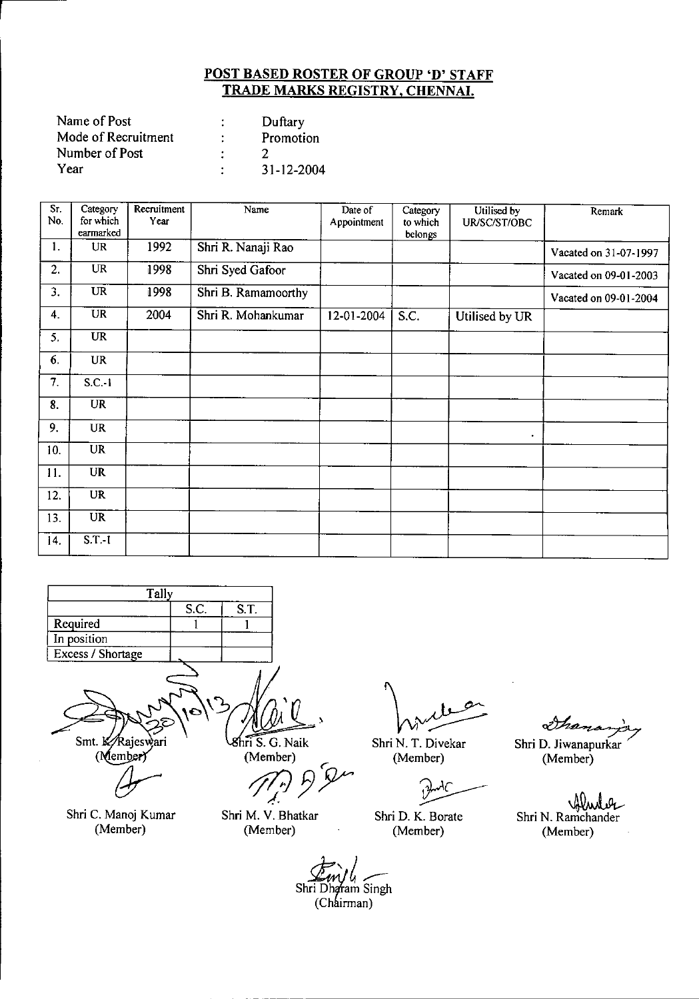| Name of Post        |   | Duftary    |
|---------------------|---|------------|
| Mode of Recruitment | ٠ | Promotion  |
| Number of Post      |   |            |
| Year                |   | 31-12-2004 |

| Sr.<br>No. | Category<br>for which  | Recruitment<br>Year | Name                | Date of     | Category<br>to which | Utilised by<br>UR/SC/ST/OBC | Remark                |
|------------|------------------------|---------------------|---------------------|-------------|----------------------|-----------------------------|-----------------------|
|            | earmarked              |                     |                     | Appointment | belongs              |                             |                       |
| 1.         | UR                     | 1992                | Shri R. Nanaji Rao  |             |                      |                             | Vacated on 31-07-1997 |
| 2.         | $\overline{\text{UR}}$ | 1998                | Shri Syed Gafoor    |             |                      |                             | Vacated on 09-01-2003 |
| 3.         | <b>UR</b>              | 1998                | Shri B. Ramamoorthy |             |                      |                             | Vacated on 09-01-2004 |
| 4.         | UR                     | 2004                | Shri R. Mohankumar  | 12-01-2004  | S.C.                 | Utilised by UR              |                       |
| 5.         | <b>UR</b>              |                     |                     |             |                      |                             |                       |
| 6.         | <b>UR</b>              |                     |                     |             |                      |                             |                       |
| 7.         | $S.C.-1$               |                     |                     |             |                      |                             |                       |
| 8.         | <b>UR</b>              |                     |                     |             |                      |                             |                       |
| 9.         | <b>UR</b>              |                     |                     |             |                      | $\bullet$                   |                       |
| 10.        | <b>UR</b>              |                     |                     |             |                      |                             |                       |
| 11.        | <b>UR</b>              |                     |                     |             |                      |                             |                       |
| 12.        | $\overline{\text{UR}}$ |                     |                     |             |                      |                             |                       |
| 13.        | $U\overline{R}$        |                     |                     |             |                      |                             |                       |
| 14.        | $S.T.-I$               |                     |                     |             |                      |                             |                       |



Shri C. Manoj Kumar (Member)

Shri M. V. Bhatkar (Member)

Shri N. T. Divekar (Member)

λC ~

Shri D. K. Borate (Member)

نۍ

Shri D. Jiwanapurkar (Member)

Shri N. Ramchander (Member)

Shri Dharam Singh (Chairman)